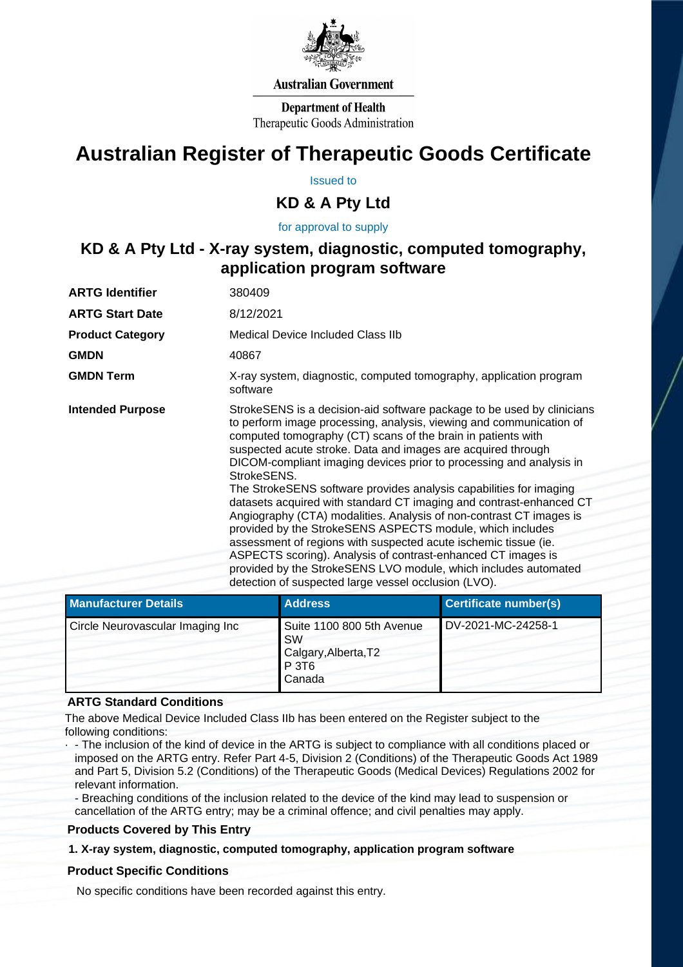

#### **Australian Government**

**Department of Health** Therapeutic Goods Administration

# **Australian Register of Therapeutic Goods Certificate**

Issued to

### **KD & A Pty Ltd**

for approval to supply

## **KD & A Pty Ltd - X-ray system, diagnostic, computed tomography, application program software**

| <b>ARTG Identifier</b>  | 380409                                                                                                                                                                                                                                                                                                                                                                                                                                                                                                                                      |
|-------------------------|---------------------------------------------------------------------------------------------------------------------------------------------------------------------------------------------------------------------------------------------------------------------------------------------------------------------------------------------------------------------------------------------------------------------------------------------------------------------------------------------------------------------------------------------|
| <b>ARTG Start Date</b>  | 8/12/2021                                                                                                                                                                                                                                                                                                                                                                                                                                                                                                                                   |
| <b>Product Category</b> | Medical Device Included Class IIb                                                                                                                                                                                                                                                                                                                                                                                                                                                                                                           |
| <b>GMDN</b>             | 40867                                                                                                                                                                                                                                                                                                                                                                                                                                                                                                                                       |
| <b>GMDN Term</b>        | X-ray system, diagnostic, computed tomography, application program<br>software                                                                                                                                                                                                                                                                                                                                                                                                                                                              |
| <b>Intended Purpose</b> | StrokeSENS is a decision-aid software package to be used by clinicians<br>to perform image processing, analysis, viewing and communication of<br>computed tomography (CT) scans of the brain in patients with<br>suspected acute stroke. Data and images are acquired through<br>DICOM-compliant imaging devices prior to processing and analysis in<br>StrokeSENS.                                                                                                                                                                         |
|                         | The StrokeSENS software provides analysis capabilities for imaging<br>datasets acquired with standard CT imaging and contrast-enhanced CT<br>Angiography (CTA) modalities. Analysis of non-contrast CT images is<br>provided by the StrokeSENS ASPECTS module, which includes<br>assessment of regions with suspected acute ischemic tissue (ie.<br>ASPECTS scoring). Analysis of contrast-enhanced CT images is<br>provided by the StrokeSENS LVO module, which includes automated<br>detection of suspected large vessel occlusion (LVO). |

| Manufacturer Details             | <b>Address</b>                                                                                | <b>Certificate number(s)</b> |
|----------------------------------|-----------------------------------------------------------------------------------------------|------------------------------|
| Circle Neurovascular Imaging Inc | Suite 1100 800 5th Avenue<br><b>SW</b><br>Calgary, Alberta, T2<br>P 3T <sub>6</sub><br>Canada | DV-2021-MC-24258-1           |

#### **ARTG Standard Conditions**

The above Medical Device Included Class IIb has been entered on the Register subject to the following conditions:

· - The inclusion of the kind of device in the ARTG is subject to compliance with all conditions placed or imposed on the ARTG entry. Refer Part 4-5, Division 2 (Conditions) of the Therapeutic Goods Act 1989 and Part 5, Division 5.2 (Conditions) of the Therapeutic Goods (Medical Devices) Regulations 2002 for relevant information.

- Breaching conditions of the inclusion related to the device of the kind may lead to suspension or cancellation of the ARTG entry; may be a criminal offence; and civil penalties may apply.

#### **Products Covered by This Entry**

#### **1. X-ray system, diagnostic, computed tomography, application program software**

#### **Product Specific Conditions**

No specific conditions have been recorded against this entry.